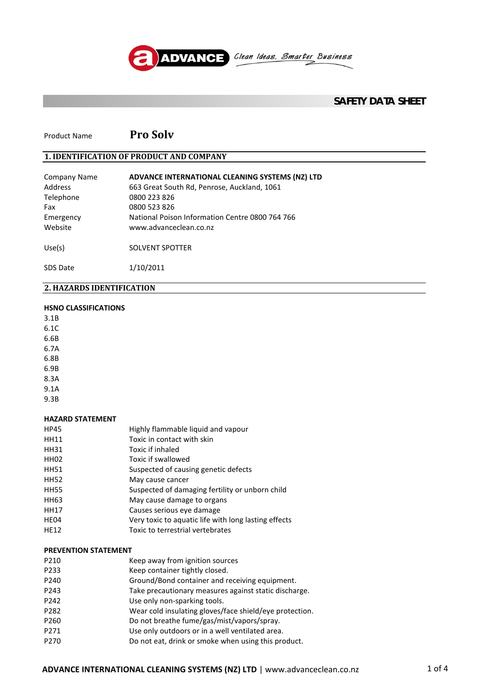

Clean Ideas. Smarter Business

# **SAFETY DATA SHEET**

Product Name **Pro Solv**

### **1. IDENTIFICATION OF PRODUCT AND COMPANY**

| Company Name | ADVANCE INTERNATIONAL CLEANING SYSTEMS (NZ) LTD |
|--------------|-------------------------------------------------|
| Address      | 663 Great South Rd, Penrose, Auckland, 1061     |
| Telephone    | 0800 223 826                                    |
| Fax          | 0800 523 826                                    |
| Emergency    | National Poison Information Centre 0800 764 766 |
| Website      | www.advanceclean.co.nz                          |
|              |                                                 |

Use(s) SOLVENT SPOTTER

SDS Date 1/10/2011

**2. HAZARDS IDENTIFICATION**

# **HSNO CLASSIFICATIONS**

3.1B 6.1C 6.6B 6.7A 6.8B 6.9B 8.3A 9.1A 9.3B

## **HAZARD STATEMENT**

| <b>HP45</b> | Highly flammable liquid and vapour                   |
|-------------|------------------------------------------------------|
| <b>HH11</b> | Toxic in contact with skin                           |
| <b>HH31</b> | Toxic if inhaled                                     |
| <b>HH02</b> | Toxic if swallowed                                   |
| <b>HH51</b> | Suspected of causing genetic defects                 |
| <b>HH52</b> | May cause cancer                                     |
| <b>HH55</b> | Suspected of damaging fertility or unborn child      |
| HH63        | May cause damage to organs                           |
| <b>HH17</b> | Causes serious eye damage                            |
| HE04        | Very toxic to aquatic life with long lasting effects |
| <b>HE12</b> | Toxic to terrestrial vertebrates                     |
|             |                                                      |

#### **PREVENTION STATEMENT**

| P210             | Keep away from ignition sources                         |
|------------------|---------------------------------------------------------|
| P233             | Keep container tightly closed.                          |
| P240             | Ground/Bond container and receiving equipment.          |
| P243             | Take precautionary measures against static discharge.   |
| P242             | Use only non-sparking tools.                            |
| P282             | Wear cold insulating gloves/face shield/eye protection. |
| P <sub>260</sub> | Do not breathe fume/gas/mist/vapors/spray.              |
| P271             | Use only outdoors or in a well ventilated area.         |
| P270             | Do not eat, drink or smoke when using this product.     |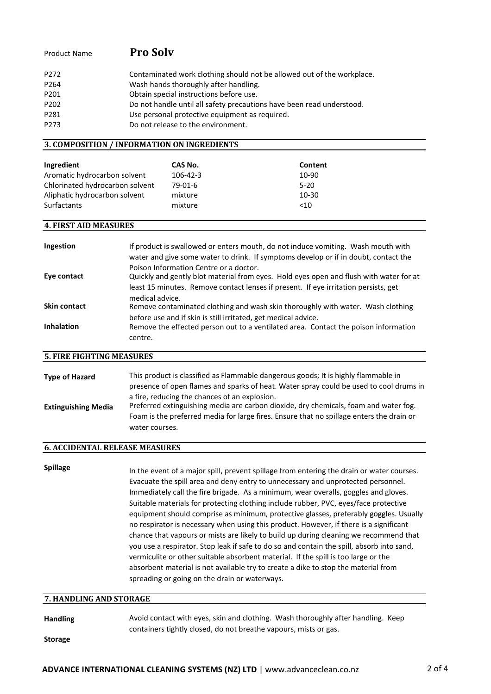# Product Name **Pro Solv**

| P <sub>272</sub> | Contaminated work clothing should not be allowed out of the workplace. |
|------------------|------------------------------------------------------------------------|
| P <sub>264</sub> | Wash hands thoroughly after handling.                                  |
| P <sub>201</sub> | Obtain special instructions before use.                                |
| P <sub>202</sub> | Do not handle until all safety precautions have been read understood.  |
| P281             | Use personal protective equipment as required.                         |
| P273             | Do not release to the environment.                                     |

#### **3. COMPOSITION / INFORMATION ON INGREDIENTS**

| Ingredient                      | CAS No.        | Content   |  |
|---------------------------------|----------------|-----------|--|
| Aromatic hydrocarbon solvent    | $106 - 42 - 3$ | 10-90     |  |
| Chlorinated hydrocarbon solvent | 79-01-6        | $5 - 20$  |  |
| Aliphatic hydrocarbon solvent   | mixture        | $10 - 30$ |  |
| <b>Surfactants</b>              | mixture        | $<$ 10    |  |

#### **4. FIRST AID MEASURES**

| Ingestion           | If product is swallowed or enters mouth, do not induce vomiting. Wash mouth with<br>water and give some water to drink. If symptoms develop or if in doubt, contact the |
|---------------------|-------------------------------------------------------------------------------------------------------------------------------------------------------------------------|
|                     | Poison Information Centre or a doctor.                                                                                                                                  |
| Eye contact         | Quickly and gently blot material from eyes. Hold eyes open and flush with water for at                                                                                  |
|                     | least 15 minutes. Remove contact lenses if present. If eye irritation persists, get<br>medical advice.                                                                  |
| <b>Skin contact</b> | Remove contaminated clothing and wash skin thoroughly with water. Wash clothing                                                                                         |
|                     | before use and if skin is still irritated, get medical advice.                                                                                                          |
| <b>Inhalation</b>   | Remove the effected person out to a ventilated area. Contact the poison information                                                                                     |
|                     | centre.                                                                                                                                                                 |

#### **5. FIRE FIGHTING MEASURES**

| <b>Type of Hazard</b>      | This product is classified as Flammable dangerous goods; It is highly flammable in<br>presence of open flames and sparks of heat. Water spray could be used to cool drums in |
|----------------------------|------------------------------------------------------------------------------------------------------------------------------------------------------------------------------|
| <b>Extinguishing Media</b> | a fire, reducing the chances of an explosion.<br>Preferred extinguishing media are carbon dioxide, dry chemicals, foam and water fog.                                        |
|                            | Foam is the preferred media for large fires. Ensure that no spillage enters the drain or<br>water courses.                                                                   |

# **6. ACCIDENTAL RELEASE MEASURES**

**Spillage**

In the event of a major spill, prevent spillage from entering the drain or water courses. Evacuate the spill area and deny entry to unnecessary and unprotected personnel. Immediately call the fire brigade. As a minimum, wear overalls, goggles and gloves. Suitable materials for protecting clothing include rubber, PVC, eyes/face protective equipment should comprise as minimum, protective glasses, preferably goggles. Usually no respirator is necessary when using this product. However, if there is a significant chance that vapours or mists are likely to build up during cleaning we recommend that you use a respirator. Stop leak if safe to do so and contain the spill, absorb into sand, vermiculite or other suitable absorbent material. If the spill is too large or the absorbent material is not available try to create a dike to stop the material from spreading or going on the drain or waterways.

#### **7. HANDLING AND STORAGE**

**Handling**

Avoid contact with eyes, skin and clothing. Wash thoroughly after handling. Keep containers tightly closed, do not breathe vapours, mists or gas.

**Storage**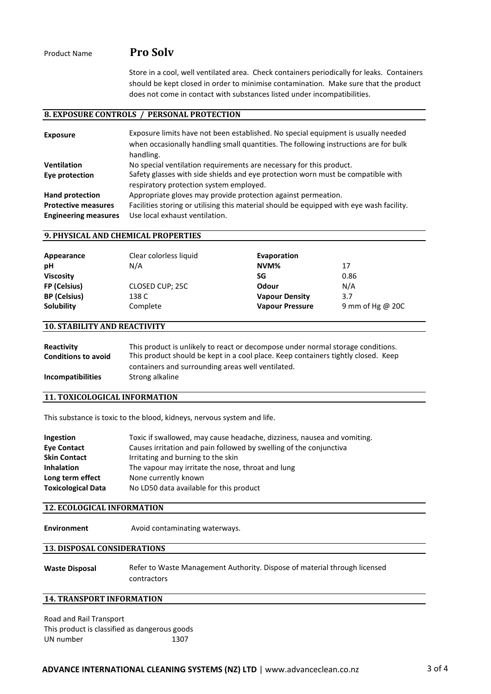# Product Name **Pro Solv**

Store in a cool, well ventilated area. Check containers periodically for leaks. Containers should be kept closed in order to minimise contamination. Make sure that the product does not come in contact with substances listed under incompatibilities.

#### **8. EXPOSURE CONTROLS / PERSONAL PROTECTION**

| <b>Exposure</b>             | Exposure limits have not been established. No special equipment is usually needed<br>when occasionally handling small quantities. The following instructions are for bulk<br>handling. |
|-----------------------------|----------------------------------------------------------------------------------------------------------------------------------------------------------------------------------------|
| <b>Ventilation</b>          | No special ventilation requirements are necessary for this product.                                                                                                                    |
| Eye protection              | Safety glasses with side shields and eye protection worn must be compatible with                                                                                                       |
|                             | respiratory protection system employed.                                                                                                                                                |
| Hand protection             | Appropriate gloves may provide protection against permeation.                                                                                                                          |
| <b>Protective measures</b>  | Facilities storing or utilising this material should be equipped with eye wash facility.                                                                                               |
| <b>Engineering measures</b> | Use local exhaust ventilation.                                                                                                                                                         |

#### **9. PHYSICAL AND CHEMICAL PROPERTIES**

| Appearance          | Clear colorless liquid | Evaporation            |                  |
|---------------------|------------------------|------------------------|------------------|
| рH                  | N/A                    | NVM%                   | 17               |
| <b>Viscosity</b>    |                        | SG                     | 0.86             |
| FP (Celsius)        | CLOSED CUP; 25C        | Odour                  | N/A              |
| <b>BP</b> (Celsius) | 138 C                  | <b>Vapour Density</b>  | 3.7              |
| Solubility          | Complete               | <b>Vapour Pressure</b> | 9 mm of Hg @ 20C |

#### **10. STABILITY AND REACTIVITY**

| Reactivity                 | This product is unlikely to react or decompose under normal storage conditions.   |
|----------------------------|-----------------------------------------------------------------------------------|
| <b>Conditions to avoid</b> | This product should be kept in a cool place. Keep containers tightly closed. Keep |
|                            | containers and surrounding areas well ventilated.                                 |
| <b>Incompatibilities</b>   | Strong alkaline                                                                   |

#### **11. TOXICOLOGICAL INFORMATION**

This substance is toxic to the blood, kidneys, nervous system and life.

| Ingestion                 | Toxic if swallowed, may cause headache, dizziness, nausea and vomiting. |
|---------------------------|-------------------------------------------------------------------------|
| <b>Eve Contact</b>        | Causes irritation and pain followed by swelling of the conjunctiva      |
| <b>Skin Contact</b>       | Irritating and burning to the skin                                      |
| <b>Inhalation</b>         | The vapour may irritate the nose, throat and lung                       |
| Long term effect          | None currently known                                                    |
| <b>Toxicological Data</b> | No LD50 data available for this product                                 |

# **12. ECOLOGICAL INFORMATION**

**Environment** Avoid contaminating waterways.

#### **13. DISPOSAL CONSIDERATIONS**

**Waste Disposal** Refer to Waste Management Authority. Dispose of material through licensed contractors

#### **14. TRANSPORT INFORMATION**

Road and Rail Transport This product is classified as dangerous goods UN number 1307